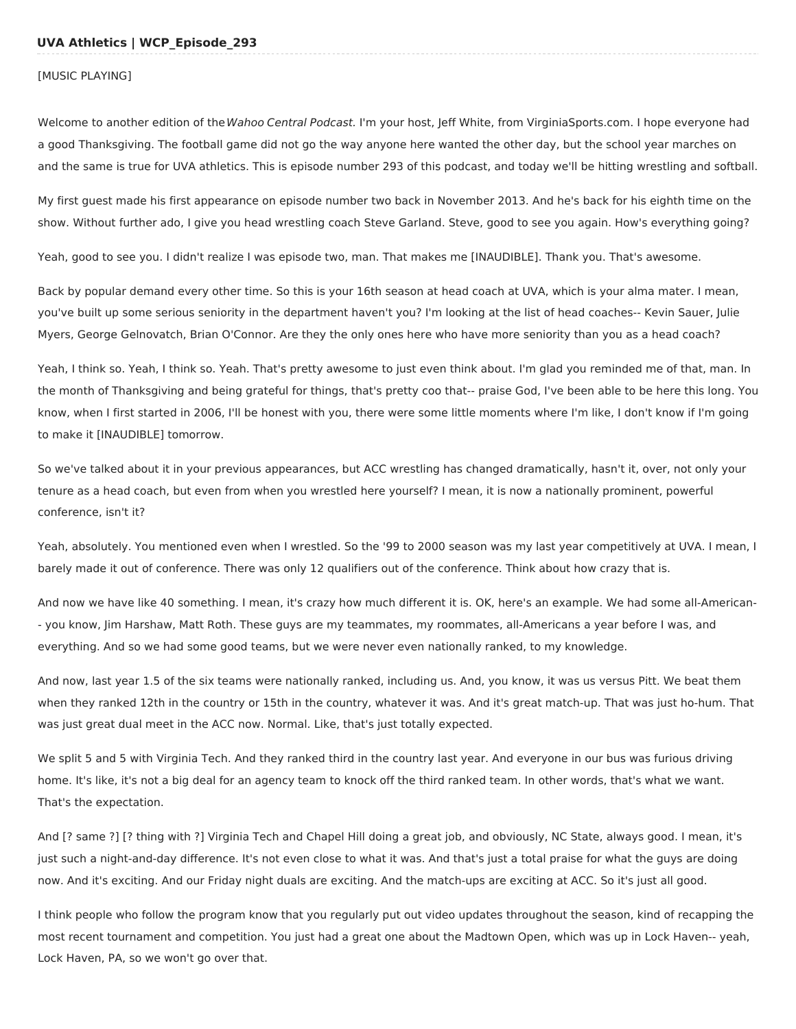#### [MUSIC PLAYING]

Welcome to another edition of the Wahoo Central Podcast. I'm your host, Jeff White, from VirginiaSports.com. I hope everyone had a good Thanksgiving. The football game did not go the way anyone here wanted the other day, but the school year marches on and the same is true for UVA athletics. This is episode number 293 of this podcast, and today we'll be hitting wrestling and softball.

My first guest made his first appearance on episode number two back in November 2013. And he's back for his eighth time on the show. Without further ado, I give you head wrestling coach Steve Garland. Steve, good to see you again. How's everything going?

Yeah, good to see you. I didn't realize I was episode two, man. That makes me [INAUDIBLE]. Thank you. That's awesome.

Back by popular demand every other time. So this is your 16th season at head coach at UVA, which is your alma mater. I mean, you've built up some serious seniority in the department haven't you? I'm looking at the list of head coaches-- Kevin Sauer, Julie Myers, George Gelnovatch, Brian O'Connor. Are they the only ones here who have more seniority than you as a head coach?

Yeah, I think so. Yeah, I think so. Yeah. That's pretty awesome to just even think about. I'm glad you reminded me of that, man. In the month of Thanksgiving and being grateful for things, that's pretty coo that-- praise God, I've been able to be here this long. You know, when I first started in 2006, I'll be honest with you, there were some little moments where I'm like, I don't know if I'm going to make it [INAUDIBLE] tomorrow.

So we've talked about it in your previous appearances, but ACC wrestling has changed dramatically, hasn't it, over, not only your tenure as a head coach, but even from when you wrestled here yourself? I mean, it is now a nationally prominent, powerful conference, isn't it?

Yeah, absolutely. You mentioned even when I wrestled. So the '99 to 2000 season was my last year competitively at UVA. I mean, I barely made it out of conference. There was only 12 qualifiers out of the conference. Think about how crazy that is.

And now we have like 40 something. I mean, it's crazy how much different it is. OK, here's an example. We had some all-American- - you know, Jim Harshaw, Matt Roth. These guys are my teammates, my roommates, all-Americans a year before I was, and everything. And so we had some good teams, but we were never even nationally ranked, to my knowledge.

And now, last year 1.5 of the six teams were nationally ranked, including us. And, you know, it was us versus Pitt. We beat them when they ranked 12th in the country or 15th in the country, whatever it was. And it's great match-up. That was just ho-hum. That was just great dual meet in the ACC now. Normal. Like, that's just totally expected.

We split 5 and 5 with Virginia Tech. And they ranked third in the country last year. And everyone in our bus was furious driving home. It's like, it's not a big deal for an agency team to knock off the third ranked team. In other words, that's what we want. That's the expectation.

And [? same ?] [? thing with ?] Virginia Tech and Chapel Hill doing a great job, and obviously, NC State, always good. I mean, it's just such a night-and-day difference. It's not even close to what it was. And that's just a total praise for what the guys are doing now. And it's exciting. And our Friday night duals are exciting. And the match-ups are exciting at ACC. So it's just all good.

I think people who follow the program know that you regularly put out video updates throughout the season, kind of recapping the most recent tournament and competition. You just had a great one about the Madtown Open, which was up in Lock Haven-- yeah, Lock Haven, PA, so we won't go over that.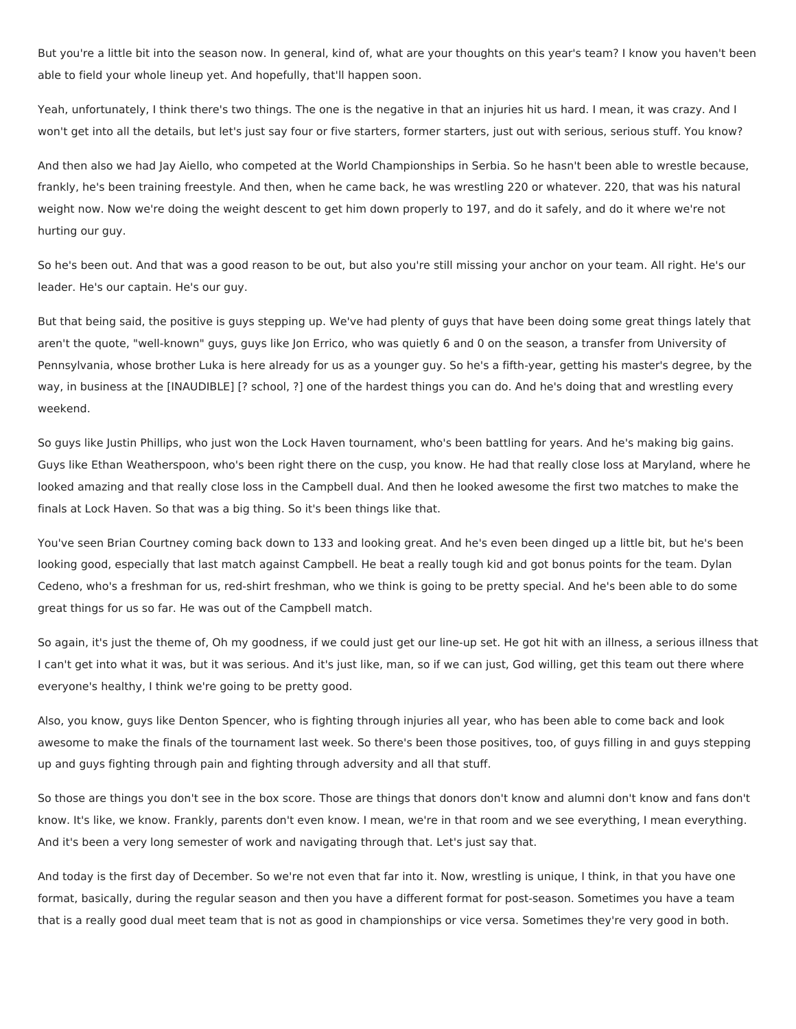But you're a little bit into the season now. In general, kind of, what are your thoughts on this year's team? I know you haven't been able to field your whole lineup yet. And hopefully, that'll happen soon.

Yeah, unfortunately, I think there's two things. The one is the negative in that an injuries hit us hard. I mean, it was crazy. And I won't get into all the details, but let's just say four or five starters, former starters, just out with serious, serious stuff. You know?

And then also we had Jay Aiello, who competed at the World Championships in Serbia. So he hasn't been able to wrestle because, frankly, he's been training freestyle. And then, when he came back, he was wrestling 220 or whatever. 220, that was his natural weight now. Now we're doing the weight descent to get him down properly to 197, and do it safely, and do it where we're not hurting our guy.

So he's been out. And that was a good reason to be out, but also you're still missing your anchor on your team. All right. He's our leader. He's our captain. He's our guy.

But that being said, the positive is guys stepping up. We've had plenty of guys that have been doing some great things lately that aren't the quote, "well-known" guys, guys like Jon Errico, who was quietly 6 and 0 on the season, a transfer from University of Pennsylvania, whose brother Luka is here already for us as a younger guy. So he's a fifth-year, getting his master's degree, by the way, in business at the [INAUDIBLE] [? school, ?] one of the hardest things you can do. And he's doing that and wrestling every weekend.

So guys like Justin Phillips, who just won the Lock Haven tournament, who's been battling for years. And he's making big gains. Guys like Ethan Weatherspoon, who's been right there on the cusp, you know. He had that really close loss at Maryland, where he looked amazing and that really close loss in the Campbell dual. And then he looked awesome the first two matches to make the finals at Lock Haven. So that was a big thing. So it's been things like that.

You've seen Brian Courtney coming back down to 133 and looking great. And he's even been dinged up a little bit, but he's been looking good, especially that last match against Campbell. He beat a really tough kid and got bonus points for the team. Dylan Cedeno, who's a freshman for us, red-shirt freshman, who we think is going to be pretty special. And he's been able to do some great things for us so far. He was out of the Campbell match.

So again, it's just the theme of, Oh my goodness, if we could just get our line-up set. He got hit with an illness, a serious illness that I can't get into what it was, but it was serious. And it's just like, man, so if we can just, God willing, get this team out there where everyone's healthy, I think we're going to be pretty good.

Also, you know, guys like Denton Spencer, who is fighting through injuries all year, who has been able to come back and look awesome to make the finals of the tournament last week. So there's been those positives, too, of guys filling in and guys stepping up and guys fighting through pain and fighting through adversity and all that stuff.

So those are things you don't see in the box score. Those are things that donors don't know and alumni don't know and fans don't know. It's like, we know. Frankly, parents don't even know. I mean, we're in that room and we see everything, I mean everything. And it's been a very long semester of work and navigating through that. Let's just say that.

And today is the first day of December. So we're not even that far into it. Now, wrestling is unique, I think, in that you have one format, basically, during the regular season and then you have a different format for post-season. Sometimes you have a team that is a really good dual meet team that is not as good in championships or vice versa. Sometimes they're very good in both.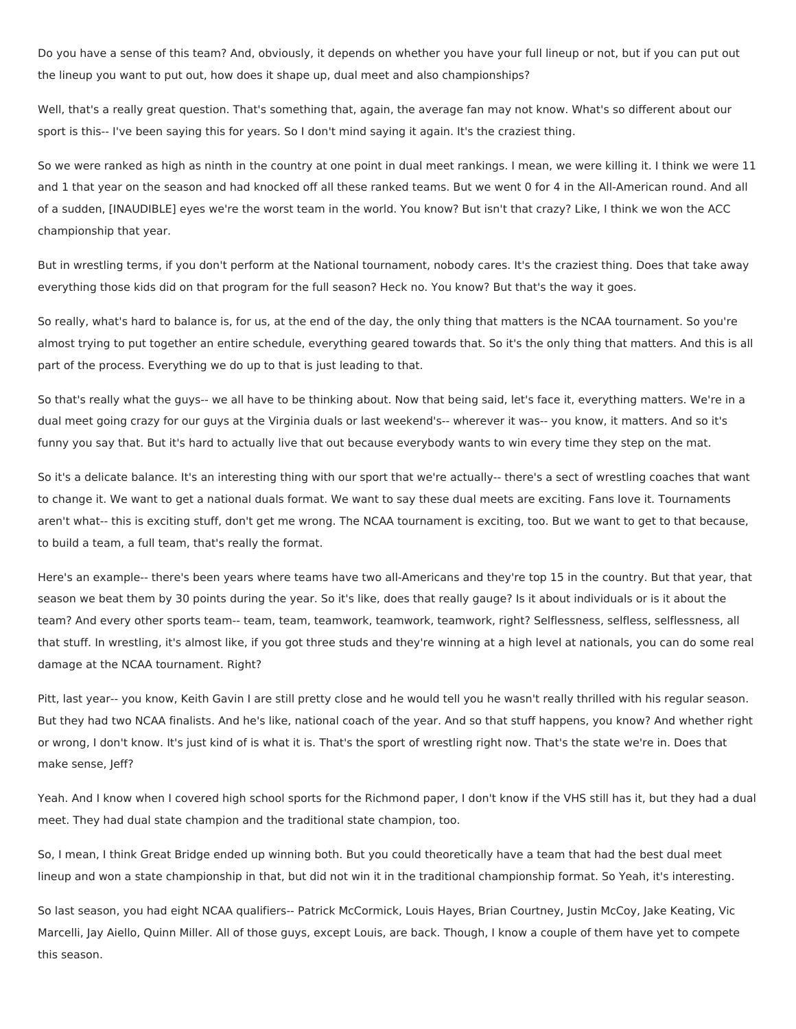Do you have a sense of this team? And, obviously, it depends on whether you have your full lineup or not, but if you can put out the lineup you want to put out, how does it shape up, dual meet and also championships?

Well, that's a really great question. That's something that, again, the average fan may not know. What's so different about our sport is this-- I've been saying this for years. So I don't mind saying it again. It's the craziest thing.

So we were ranked as high as ninth in the country at one point in dual meet rankings. I mean, we were killing it. I think we were 11 and 1 that year on the season and had knocked off all these ranked teams. But we went 0 for 4 in the All-American round. And all of a sudden, [INAUDIBLE] eyes we're the worst team in the world. You know? But isn't that crazy? Like, I think we won the ACC championship that year.

But in wrestling terms, if you don't perform at the National tournament, nobody cares. It's the craziest thing. Does that take away everything those kids did on that program for the full season? Heck no. You know? But that's the way it goes.

So really, what's hard to balance is, for us, at the end of the day, the only thing that matters is the NCAA tournament. So you're almost trying to put together an entire schedule, everything geared towards that. So it's the only thing that matters. And this is all part of the process. Everything we do up to that is just leading to that.

So that's really what the guys-- we all have to be thinking about. Now that being said, let's face it, everything matters. We're in a dual meet going crazy for our guys at the Virginia duals or last weekend's-- wherever it was-- you know, it matters. And so it's funny you say that. But it's hard to actually live that out because everybody wants to win every time they step on the mat.

So it's a delicate balance. It's an interesting thing with our sport that we're actually-- there's a sect of wrestling coaches that want to change it. We want to get a national duals format. We want to say these dual meets are exciting. Fans love it. Tournaments aren't what-- this is exciting stuff, don't get me wrong. The NCAA tournament is exciting, too. But we want to get to that because, to build a team, a full team, that's really the format.

Here's an example-- there's been years where teams have two all-Americans and they're top 15 in the country. But that year, that season we beat them by 30 points during the year. So it's like, does that really gauge? Is it about individuals or is it about the team? And every other sports team-- team, team, teamwork, teamwork, teamwork, right? Selflessness, selfless, selflessness, all that stuff. In wrestling, it's almost like, if you got three studs and they're winning at a high level at nationals, you can do some real damage at the NCAA tournament. Right?

Pitt, last year-- you know, Keith Gavin I are still pretty close and he would tell you he wasn't really thrilled with his regular season. But they had two NCAA finalists. And he's like, national coach of the year. And so that stuff happens, you know? And whether right or wrong, I don't know. It's just kind of is what it is. That's the sport of wrestling right now. That's the state we're in. Does that make sense, Jeff?

Yeah. And I know when I covered high school sports for the Richmond paper, I don't know if the VHS still has it, but they had a dual meet. They had dual state champion and the traditional state champion, too.

So, I mean, I think Great Bridge ended up winning both. But you could theoretically have a team that had the best dual meet lineup and won a state championship in that, but did not win it in the traditional championship format. So Yeah, it's interesting.

So last season, you had eight NCAA qualifiers-- Patrick McCormick, Louis Hayes, Brian Courtney, Justin McCoy, Jake Keating, Vic Marcelli, Jay Aiello, Quinn Miller. All of those guys, except Louis, are back. Though, I know a couple of them have yet to compete this season.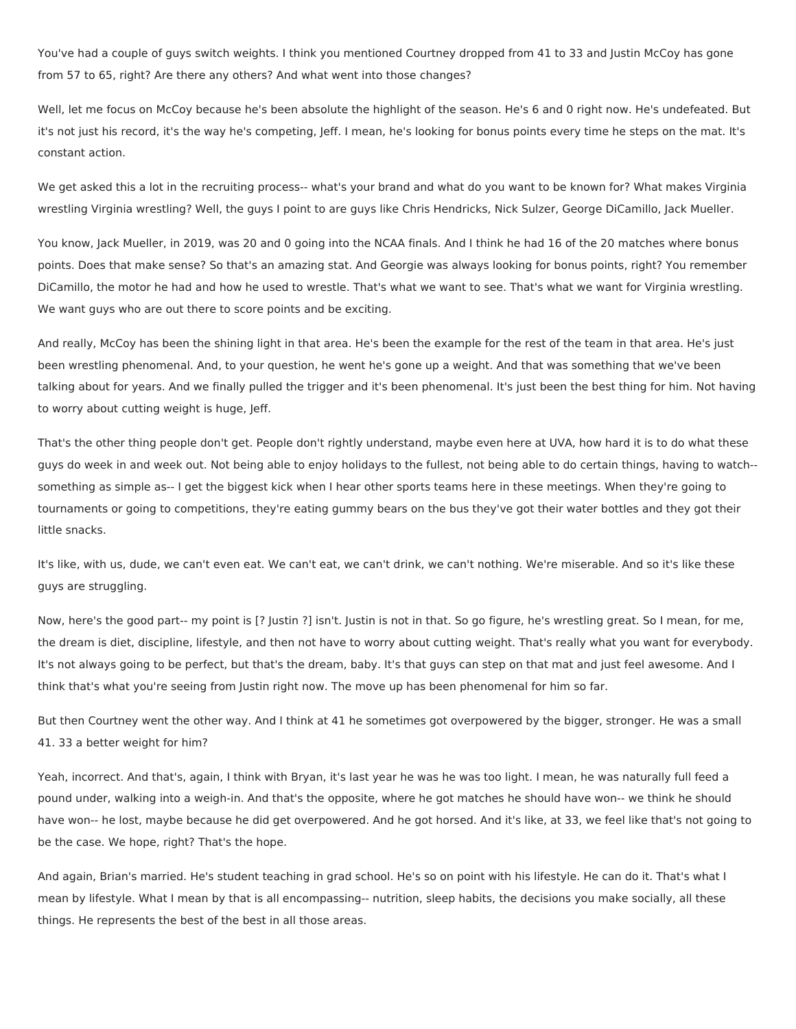You've had a couple of guys switch weights. I think you mentioned Courtney dropped from 41 to 33 and Justin McCoy has gone from 57 to 65, right? Are there any others? And what went into those changes?

Well, let me focus on McCoy because he's been absolute the highlight of the season. He's 6 and 0 right now. He's undefeated. But it's not just his record, it's the way he's competing, Jeff. I mean, he's looking for bonus points every time he steps on the mat. It's constant action.

We get asked this a lot in the recruiting process-- what's your brand and what do you want to be known for? What makes Virginia wrestling Virginia wrestling? Well, the guys I point to are guys like Chris Hendricks, Nick Sulzer, George DiCamillo, Jack Mueller.

You know, Jack Mueller, in 2019, was 20 and 0 going into the NCAA finals. And I think he had 16 of the 20 matches where bonus points. Does that make sense? So that's an amazing stat. And Georgie was always looking for bonus points, right? You remember DiCamillo, the motor he had and how he used to wrestle. That's what we want to see. That's what we want for Virginia wrestling. We want guys who are out there to score points and be exciting.

And really, McCoy has been the shining light in that area. He's been the example for the rest of the team in that area. He's just been wrestling phenomenal. And, to your question, he went he's gone up a weight. And that was something that we've been talking about for years. And we finally pulled the trigger and it's been phenomenal. It's just been the best thing for him. Not having to worry about cutting weight is huge, Jeff.

That's the other thing people don't get. People don't rightly understand, maybe even here at UVA, how hard it is to do what these guys do week in and week out. Not being able to enjoy holidays to the fullest, not being able to do certain things, having to watch- something as simple as-- I get the biggest kick when I hear other sports teams here in these meetings. When they're going to tournaments or going to competitions, they're eating gummy bears on the bus they've got their water bottles and they got their little snacks.

It's like, with us, dude, we can't even eat. We can't eat, we can't drink, we can't nothing. We're miserable. And so it's like these guys are struggling.

Now, here's the good part-- my point is [? Justin ?] isn't. Justin is not in that. So go figure, he's wrestling great. So I mean, for me, the dream is diet, discipline, lifestyle, and then not have to worry about cutting weight. That's really what you want for everybody. It's not always going to be perfect, but that's the dream, baby. It's that guys can step on that mat and just feel awesome. And I think that's what you're seeing from Justin right now. The move up has been phenomenal for him so far.

But then Courtney went the other way. And I think at 41 he sometimes got overpowered by the bigger, stronger. He was a small 41. 33 a better weight for him?

Yeah, incorrect. And that's, again, I think with Bryan, it's last year he was he was too light. I mean, he was naturally full feed a pound under, walking into a weigh-in. And that's the opposite, where he got matches he should have won-- we think he should have won-- he lost, maybe because he did get overpowered. And he got horsed. And it's like, at 33, we feel like that's not going to be the case. We hope, right? That's the hope.

And again, Brian's married. He's student teaching in grad school. He's so on point with his lifestyle. He can do it. That's what I mean by lifestyle. What I mean by that is all encompassing-- nutrition, sleep habits, the decisions you make socially, all these things. He represents the best of the best in all those areas.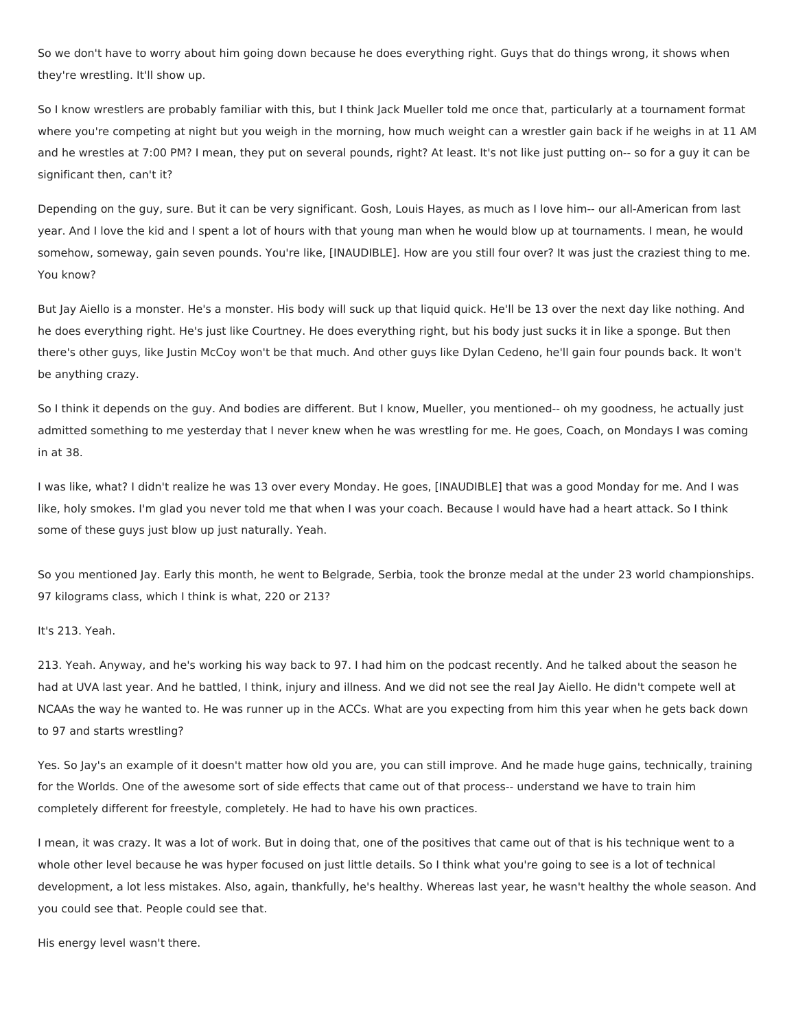So we don't have to worry about him going down because he does everything right. Guys that do things wrong, it shows when they're wrestling. It'll show up.

So I know wrestlers are probably familiar with this, but I think Jack Mueller told me once that, particularly at a tournament format where you're competing at night but you weigh in the morning, how much weight can a wrestler gain back if he weighs in at 11 AM and he wrestles at 7:00 PM? I mean, they put on several pounds, right? At least. It's not like just putting on-- so for a guy it can be significant then, can't it?

Depending on the guy, sure. But it can be very significant. Gosh, Louis Hayes, as much as I love him-- our all-American from last year. And I love the kid and I spent a lot of hours with that young man when he would blow up at tournaments. I mean, he would somehow, someway, gain seven pounds. You're like, [INAUDIBLE]. How are you still four over? It was just the craziest thing to me. You know?

But Jay Aiello is a monster. He's a monster. His body will suck up that liquid quick. He'll be 13 over the next day like nothing. And he does everything right. He's just like Courtney. He does everything right, but his body just sucks it in like a sponge. But then there's other guys, like Justin McCoy won't be that much. And other guys like Dylan Cedeno, he'll gain four pounds back. It won't be anything crazy.

So I think it depends on the guy. And bodies are different. But I know, Mueller, you mentioned-- oh my goodness, he actually just admitted something to me yesterday that I never knew when he was wrestling for me. He goes, Coach, on Mondays I was coming in at 38.

I was like, what? I didn't realize he was 13 over every Monday. He goes, [INAUDIBLE] that was a good Monday for me. And I was like, holy smokes. I'm glad you never told me that when I was your coach. Because I would have had a heart attack. So I think some of these guys just blow up just naturally. Yeah.

So you mentioned Jay. Early this month, he went to Belgrade, Serbia, took the bronze medal at the under 23 world championships. 97 kilograms class, which I think is what, 220 or 213?

# It's 213. Yeah.

213. Yeah. Anyway, and he's working his way back to 97. I had him on the podcast recently. And he talked about the season he had at UVA last year. And he battled, I think, injury and illness. And we did not see the real Jay Aiello. He didn't compete well at NCAAs the way he wanted to. He was runner up in the ACCs. What are you expecting from him this year when he gets back down to 97 and starts wrestling?

Yes. So Jay's an example of it doesn't matter how old you are, you can still improve. And he made huge gains, technically, training for the Worlds. One of the awesome sort of side effects that came out of that process-- understand we have to train him completely different for freestyle, completely. He had to have his own practices.

I mean, it was crazy. It was a lot of work. But in doing that, one of the positives that came out of that is his technique went to a whole other level because he was hyper focused on just little details. So I think what you're going to see is a lot of technical development, a lot less mistakes. Also, again, thankfully, he's healthy. Whereas last year, he wasn't healthy the whole season. And you could see that. People could see that.

His energy level wasn't there.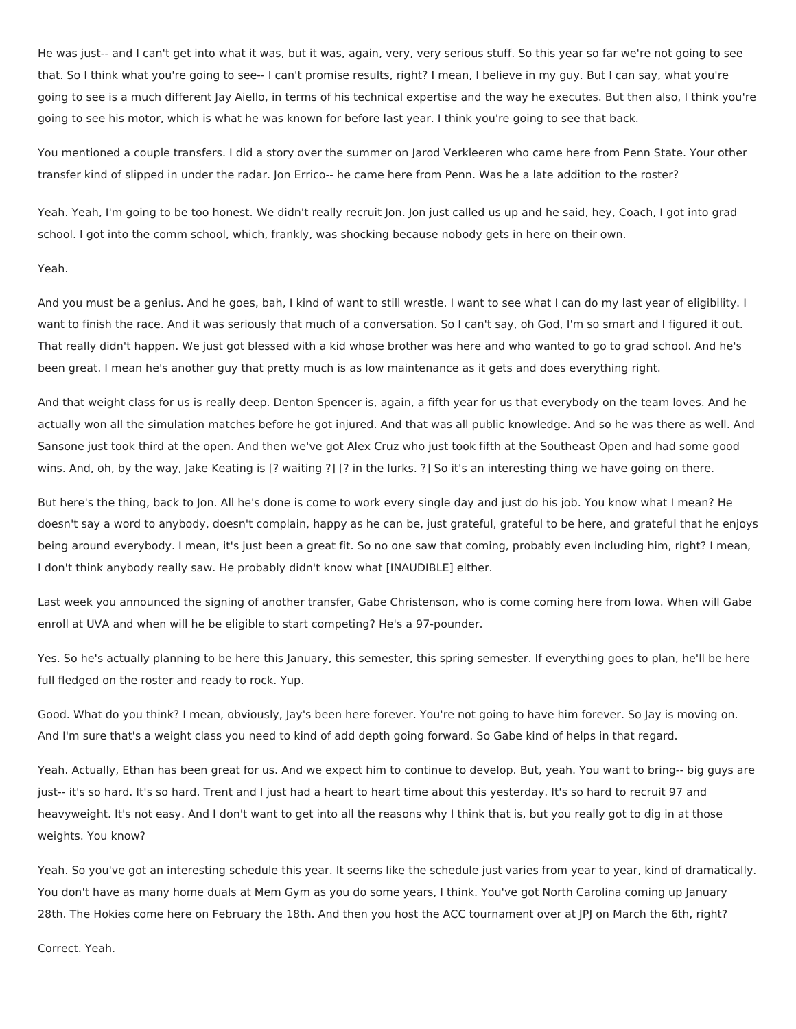He was just-- and I can't get into what it was, but it was, again, very, very serious stuff. So this year so far we're not going to see that. So I think what you're going to see-- I can't promise results, right? I mean, I believe in my guy. But I can say, what you're going to see is a much different Jay Aiello, in terms of his technical expertise and the way he executes. But then also, I think you're going to see his motor, which is what he was known for before last year. I think you're going to see that back.

You mentioned a couple transfers. I did a story over the summer on Jarod Verkleeren who came here from Penn State. Your other transfer kind of slipped in under the radar. Jon Errico-- he came here from Penn. Was he a late addition to the roster?

Yeah. Yeah, I'm going to be too honest. We didn't really recruit Jon. Jon just called us up and he said, hey, Coach, I got into grad school. I got into the comm school, which, frankly, was shocking because nobody gets in here on their own.

## Yeah.

And you must be a genius. And he goes, bah, I kind of want to still wrestle. I want to see what I can do my last year of eligibility. I want to finish the race. And it was seriously that much of a conversation. So I can't say, oh God, I'm so smart and I figured it out. That really didn't happen. We just got blessed with a kid whose brother was here and who wanted to go to grad school. And he's been great. I mean he's another guy that pretty much is as low maintenance as it gets and does everything right.

And that weight class for us is really deep. Denton Spencer is, again, a fifth year for us that everybody on the team loves. And he actually won all the simulation matches before he got injured. And that was all public knowledge. And so he was there as well. And Sansone just took third at the open. And then we've got Alex Cruz who just took fifth at the Southeast Open and had some good wins. And, oh, by the way, Jake Keating is [? waiting ?] [? in the lurks. ?] So it's an interesting thing we have going on there.

But here's the thing, back to Jon. All he's done is come to work every single day and just do his job. You know what I mean? He doesn't say a word to anybody, doesn't complain, happy as he can be, just grateful, grateful to be here, and grateful that he enjoys being around everybody. I mean, it's just been a great fit. So no one saw that coming, probably even including him, right? I mean, I don't think anybody really saw. He probably didn't know what [INAUDIBLE] either.

Last week you announced the signing of another transfer, Gabe Christenson, who is come coming here from Iowa. When will Gabe enroll at UVA and when will he be eligible to start competing? He's a 97-pounder.

Yes. So he's actually planning to be here this January, this semester, this spring semester. If everything goes to plan, he'll be here full fledged on the roster and ready to rock. Yup.

Good. What do you think? I mean, obviously, Jay's been here forever. You're not going to have him forever. So Jay is moving on. And I'm sure that's a weight class you need to kind of add depth going forward. So Gabe kind of helps in that regard.

Yeah. Actually, Ethan has been great for us. And we expect him to continue to develop. But, yeah. You want to bring-- big guys are just-- it's so hard. It's so hard. Trent and I just had a heart to heart time about this yesterday. It's so hard to recruit 97 and heavyweight. It's not easy. And I don't want to get into all the reasons why I think that is, but you really got to dig in at those weights. You know?

Yeah. So you've got an interesting schedule this year. It seems like the schedule just varies from year to year, kind of dramatically. You don't have as many home duals at Mem Gym as you do some years, I think. You've got North Carolina coming up January 28th. The Hokies come here on February the 18th. And then you host the ACC tournament over at JPJ on March the 6th, right?

Correct. Yeah.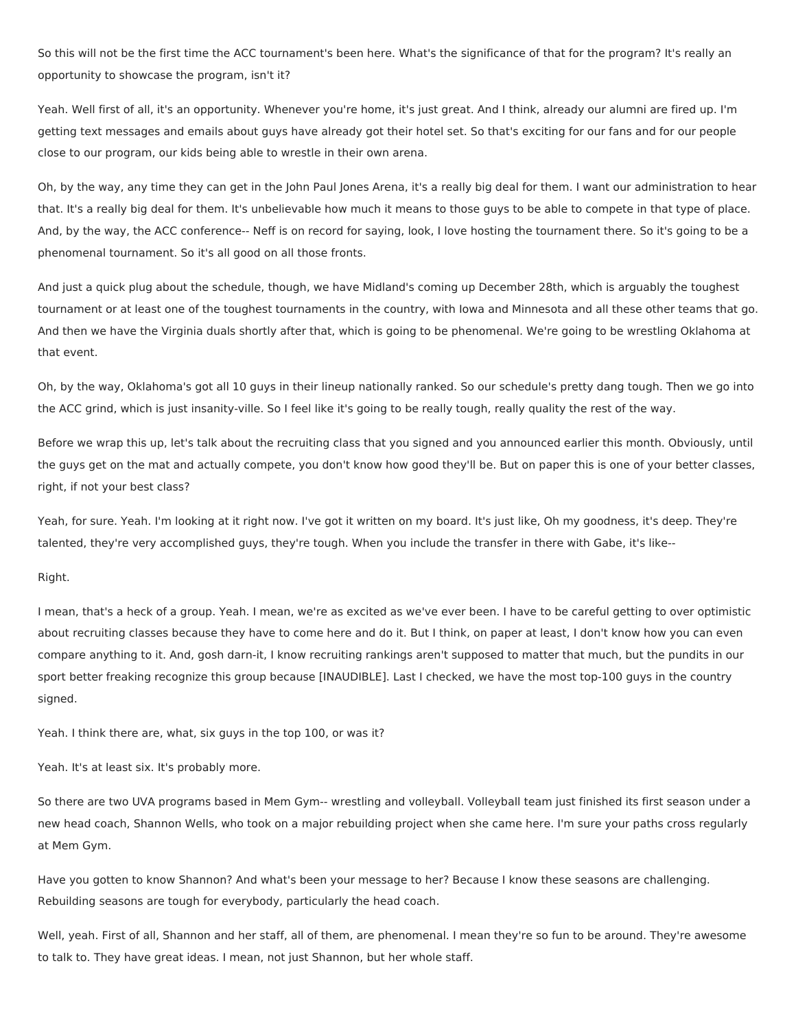So this will not be the first time the ACC tournament's been here. What's the significance of that for the program? It's really an opportunity to showcase the program, isn't it?

Yeah. Well first of all, it's an opportunity. Whenever you're home, it's just great. And I think, already our alumni are fired up. I'm getting text messages and emails about guys have already got their hotel set. So that's exciting for our fans and for our people close to our program, our kids being able to wrestle in their own arena.

Oh, by the way, any time they can get in the John Paul Jones Arena, it's a really big deal for them. I want our administration to hear that. It's a really big deal for them. It's unbelievable how much it means to those guys to be able to compete in that type of place. And, by the way, the ACC conference-- Neff is on record for saying, look, I love hosting the tournament there. So it's going to be a phenomenal tournament. So it's all good on all those fronts.

And just a quick plug about the schedule, though, we have Midland's coming up December 28th, which is arguably the toughest tournament or at least one of the toughest tournaments in the country, with Iowa and Minnesota and all these other teams that go. And then we have the Virginia duals shortly after that, which is going to be phenomenal. We're going to be wrestling Oklahoma at that event.

Oh, by the way, Oklahoma's got all 10 guys in their lineup nationally ranked. So our schedule's pretty dang tough. Then we go into the ACC grind, which is just insanity-ville. So I feel like it's going to be really tough, really quality the rest of the way.

Before we wrap this up, let's talk about the recruiting class that you signed and you announced earlier this month. Obviously, until the guys get on the mat and actually compete, you don't know how good they'll be. But on paper this is one of your better classes, right, if not your best class?

Yeah, for sure. Yeah. I'm looking at it right now. I've got it written on my board. It's just like, Oh my goodness, it's deep. They're talented, they're very accomplished guys, they're tough. When you include the transfer in there with Gabe, it's like--

#### Right.

I mean, that's a heck of a group. Yeah. I mean, we're as excited as we've ever been. I have to be careful getting to over optimistic about recruiting classes because they have to come here and do it. But I think, on paper at least, I don't know how you can even compare anything to it. And, gosh darn-it, I know recruiting rankings aren't supposed to matter that much, but the pundits in our sport better freaking recognize this group because [INAUDIBLE]. Last I checked, we have the most top-100 guys in the country signed.

Yeah. I think there are, what, six guys in the top 100, or was it?

Yeah. It's at least six. It's probably more.

So there are two UVA programs based in Mem Gym-- wrestling and volleyball. Volleyball team just finished its first season under a new head coach, Shannon Wells, who took on a major rebuilding project when she came here. I'm sure your paths cross regularly at Mem Gym.

Have you gotten to know Shannon? And what's been your message to her? Because I know these seasons are challenging. Rebuilding seasons are tough for everybody, particularly the head coach.

Well, yeah. First of all, Shannon and her staff, all of them, are phenomenal. I mean they're so fun to be around. They're awesome to talk to. They have great ideas. I mean, not just Shannon, but her whole staff.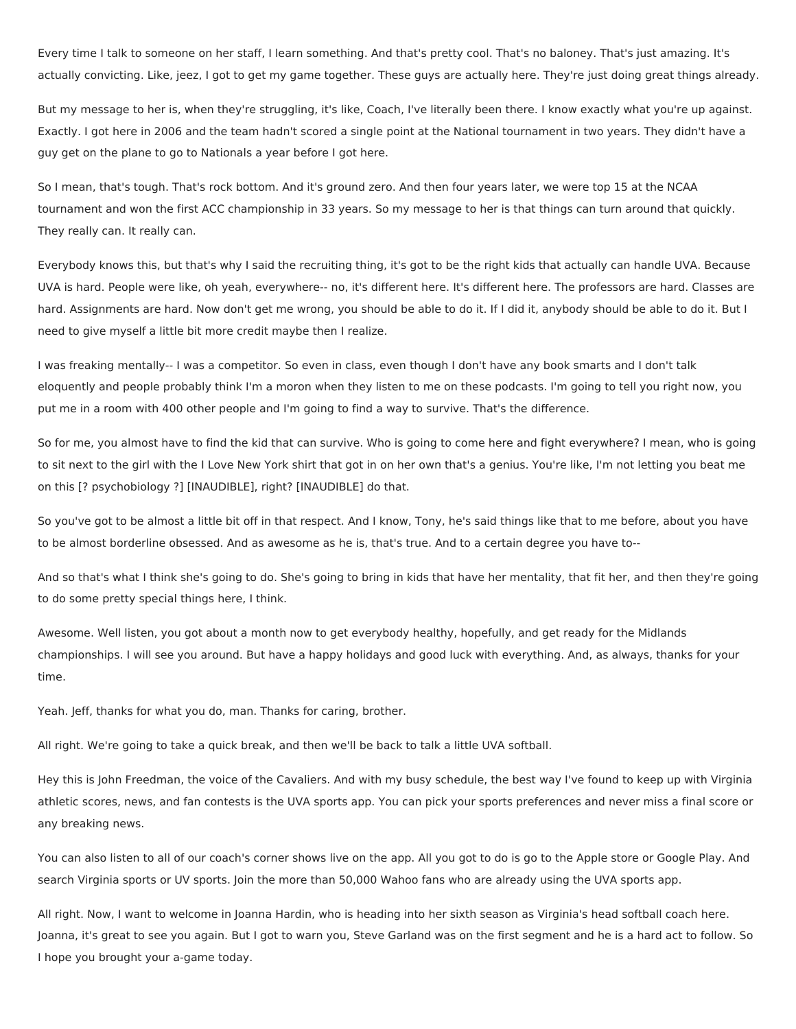Every time I talk to someone on her staff, I learn something. And that's pretty cool. That's no baloney. That's just amazing. It's actually convicting. Like, jeez, I got to get my game together. These guys are actually here. They're just doing great things already.

But my message to her is, when they're struggling, it's like, Coach, I've literally been there. I know exactly what you're up against. Exactly. I got here in 2006 and the team hadn't scored a single point at the National tournament in two years. They didn't have a guy get on the plane to go to Nationals a year before I got here.

So I mean, that's tough. That's rock bottom. And it's ground zero. And then four years later, we were top 15 at the NCAA tournament and won the first ACC championship in 33 years. So my message to her is that things can turn around that quickly. They really can. It really can.

Everybody knows this, but that's why I said the recruiting thing, it's got to be the right kids that actually can handle UVA. Because UVA is hard. People were like, oh yeah, everywhere-- no, it's different here. It's different here. The professors are hard. Classes are hard. Assignments are hard. Now don't get me wrong, you should be able to do it. If I did it, anybody should be able to do it. But I need to give myself a little bit more credit maybe then I realize.

I was freaking mentally-- I was a competitor. So even in class, even though I don't have any book smarts and I don't talk eloquently and people probably think I'm a moron when they listen to me on these podcasts. I'm going to tell you right now, you put me in a room with 400 other people and I'm going to find a way to survive. That's the difference.

So for me, you almost have to find the kid that can survive. Who is going to come here and fight everywhere? I mean, who is going to sit next to the girl with the I Love New York shirt that got in on her own that's a genius. You're like, I'm not letting you beat me on this [? psychobiology ?] [INAUDIBLE], right? [INAUDIBLE] do that.

So you've got to be almost a little bit off in that respect. And I know, Tony, he's said things like that to me before, about you have to be almost borderline obsessed. And as awesome as he is, that's true. And to a certain degree you have to--

And so that's what I think she's going to do. She's going to bring in kids that have her mentality, that fit her, and then they're going to do some pretty special things here, I think.

Awesome. Well listen, you got about a month now to get everybody healthy, hopefully, and get ready for the Midlands championships. I will see you around. But have a happy holidays and good luck with everything. And, as always, thanks for your time.

Yeah. Jeff, thanks for what you do, man. Thanks for caring, brother.

All right. We're going to take a quick break, and then we'll be back to talk a little UVA softball.

Hey this is John Freedman, the voice of the Cavaliers. And with my busy schedule, the best way I've found to keep up with Virginia athletic scores, news, and fan contests is the UVA sports app. You can pick your sports preferences and never miss a final score or any breaking news.

You can also listen to all of our coach's corner shows live on the app. All you got to do is go to the Apple store or Google Play. And search Virginia sports or UV sports. Join the more than 50,000 Wahoo fans who are already using the UVA sports app.

All right. Now, I want to welcome in Joanna Hardin, who is heading into her sixth season as Virginia's head softball coach here. Joanna, it's great to see you again. But I got to warn you, Steve Garland was on the first segment and he is a hard act to follow. So I hope you brought your a-game today.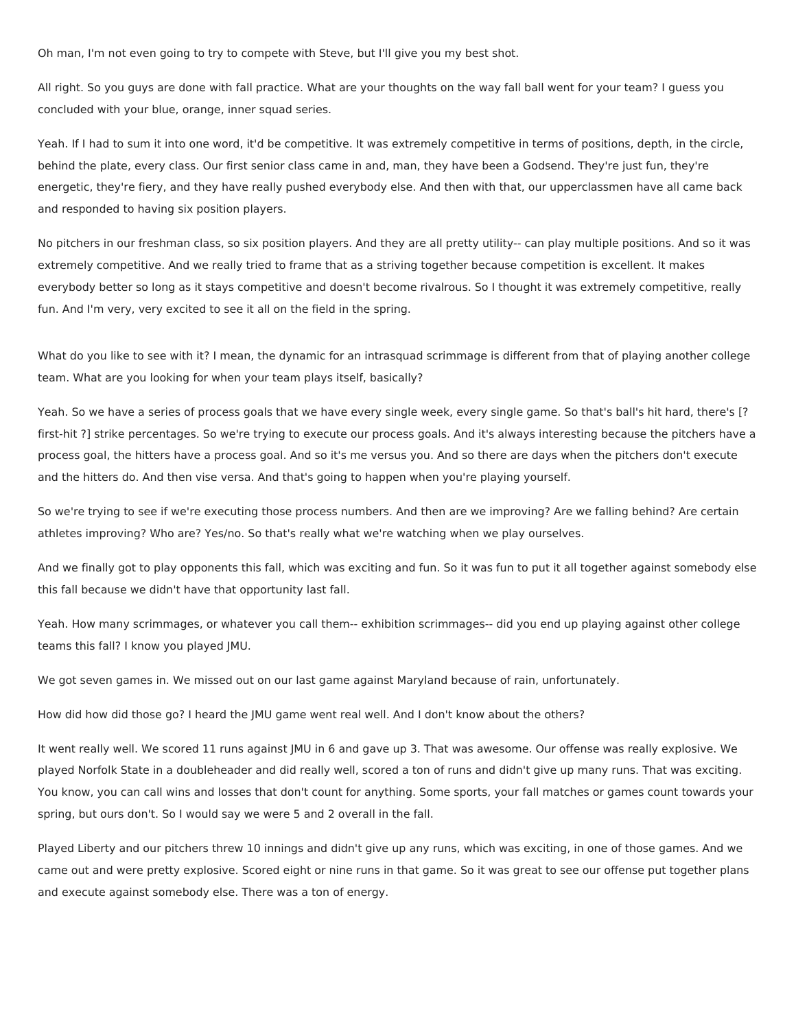Oh man, I'm not even going to try to compete with Steve, but I'll give you my best shot.

All right. So you guys are done with fall practice. What are your thoughts on the way fall ball went for your team? I guess you concluded with your blue, orange, inner squad series.

Yeah. If I had to sum it into one word, it'd be competitive. It was extremely competitive in terms of positions, depth, in the circle, behind the plate, every class. Our first senior class came in and, man, they have been a Godsend. They're just fun, they're energetic, they're fiery, and they have really pushed everybody else. And then with that, our upperclassmen have all came back and responded to having six position players.

No pitchers in our freshman class, so six position players. And they are all pretty utility-- can play multiple positions. And so it was extremely competitive. And we really tried to frame that as a striving together because competition is excellent. It makes everybody better so long as it stays competitive and doesn't become rivalrous. So I thought it was extremely competitive, really fun. And I'm very, very excited to see it all on the field in the spring.

What do you like to see with it? I mean, the dynamic for an intrasquad scrimmage is different from that of playing another college team. What are you looking for when your team plays itself, basically?

Yeah. So we have a series of process goals that we have every single week, every single game. So that's ball's hit hard, there's [? first-hit ?] strike percentages. So we're trying to execute our process goals. And it's always interesting because the pitchers have a process goal, the hitters have a process goal. And so it's me versus you. And so there are days when the pitchers don't execute and the hitters do. And then vise versa. And that's going to happen when you're playing yourself.

So we're trying to see if we're executing those process numbers. And then are we improving? Are we falling behind? Are certain athletes improving? Who are? Yes/no. So that's really what we're watching when we play ourselves.

And we finally got to play opponents this fall, which was exciting and fun. So it was fun to put it all together against somebody else this fall because we didn't have that opportunity last fall.

Yeah. How many scrimmages, or whatever you call them-- exhibition scrimmages-- did you end up playing against other college teams this fall? I know you played JMU.

We got seven games in. We missed out on our last game against Maryland because of rain, unfortunately.

How did how did those go? I heard the JMU game went real well. And I don't know about the others?

It went really well. We scored 11 runs against JMU in 6 and gave up 3. That was awesome. Our offense was really explosive. We played Norfolk State in a doubleheader and did really well, scored a ton of runs and didn't give up many runs. That was exciting. You know, you can call wins and losses that don't count for anything. Some sports, your fall matches or games count towards your spring, but ours don't. So I would say we were 5 and 2 overall in the fall.

Played Liberty and our pitchers threw 10 innings and didn't give up any runs, which was exciting, in one of those games. And we came out and were pretty explosive. Scored eight or nine runs in that game. So it was great to see our offense put together plans and execute against somebody else. There was a ton of energy.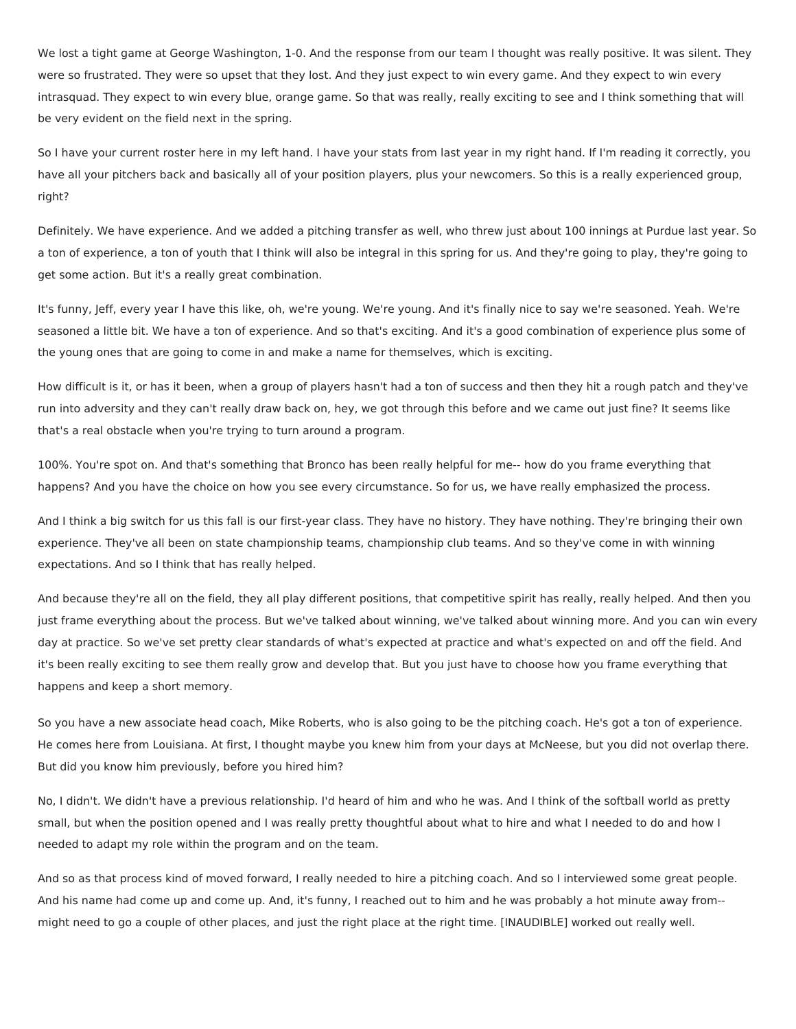We lost a tight game at George Washington, 1-0. And the response from our team I thought was really positive. It was silent. They were so frustrated. They were so upset that they lost. And they just expect to win every game. And they expect to win every intrasquad. They expect to win every blue, orange game. So that was really, really exciting to see and I think something that will be very evident on the field next in the spring.

So I have your current roster here in my left hand. I have your stats from last year in my right hand. If I'm reading it correctly, you have all your pitchers back and basically all of your position players, plus your newcomers. So this is a really experienced group, right?

Definitely. We have experience. And we added a pitching transfer as well, who threw just about 100 innings at Purdue last year. So a ton of experience, a ton of youth that I think will also be integral in this spring for us. And they're going to play, they're going to get some action. But it's a really great combination.

It's funny, Jeff, every year I have this like, oh, we're young. We're young. And it's finally nice to say we're seasoned. Yeah. We're seasoned a little bit. We have a ton of experience. And so that's exciting. And it's a good combination of experience plus some of the young ones that are going to come in and make a name for themselves, which is exciting.

How difficult is it, or has it been, when a group of players hasn't had a ton of success and then they hit a rough patch and they've run into adversity and they can't really draw back on, hey, we got through this before and we came out just fine? It seems like that's a real obstacle when you're trying to turn around a program.

100%. You're spot on. And that's something that Bronco has been really helpful for me-- how do you frame everything that happens? And you have the choice on how you see every circumstance. So for us, we have really emphasized the process.

And I think a big switch for us this fall is our first-year class. They have no history. They have nothing. They're bringing their own experience. They've all been on state championship teams, championship club teams. And so they've come in with winning expectations. And so I think that has really helped.

And because they're all on the field, they all play different positions, that competitive spirit has really, really helped. And then you just frame everything about the process. But we've talked about winning, we've talked about winning more. And you can win every day at practice. So we've set pretty clear standards of what's expected at practice and what's expected on and off the field. And it's been really exciting to see them really grow and develop that. But you just have to choose how you frame everything that happens and keep a short memory.

So you have a new associate head coach, Mike Roberts, who is also going to be the pitching coach. He's got a ton of experience. He comes here from Louisiana. At first, I thought maybe you knew him from your days at McNeese, but you did not overlap there. But did you know him previously, before you hired him?

No, I didn't. We didn't have a previous relationship. I'd heard of him and who he was. And I think of the softball world as pretty small, but when the position opened and I was really pretty thoughtful about what to hire and what I needed to do and how I needed to adapt my role within the program and on the team.

And so as that process kind of moved forward, I really needed to hire a pitching coach. And so I interviewed some great people. And his name had come up and come up. And, it's funny, I reached out to him and he was probably a hot minute away from- might need to go a couple of other places, and just the right place at the right time. [INAUDIBLE] worked out really well.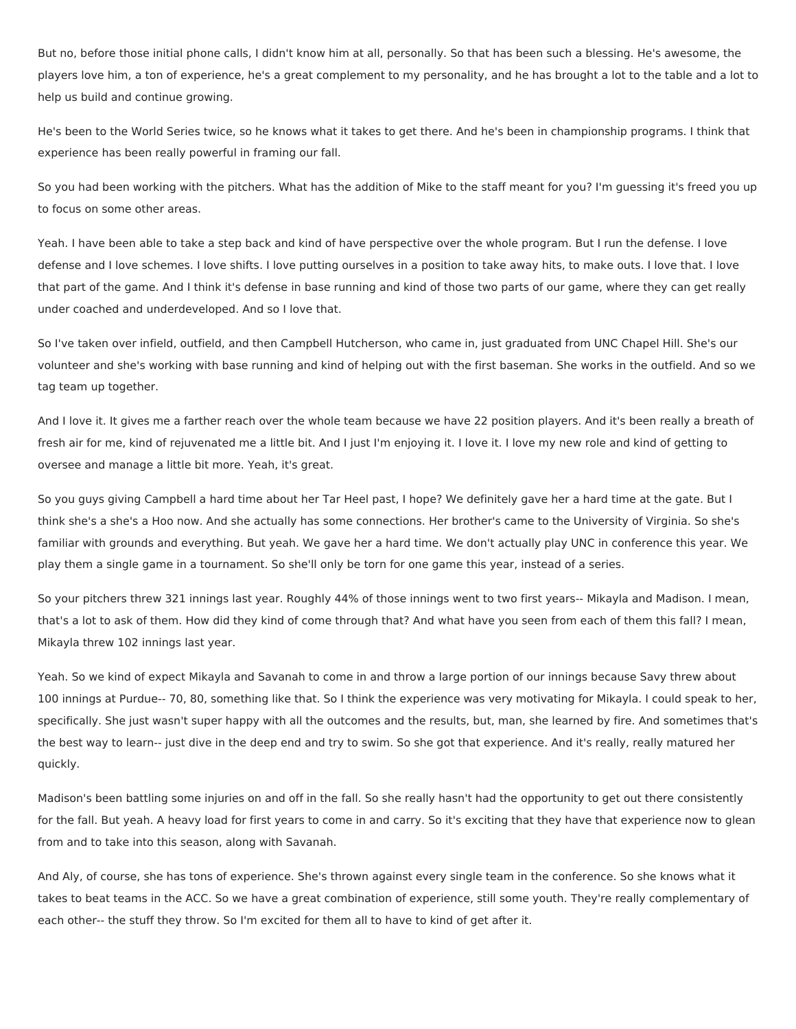But no, before those initial phone calls, I didn't know him at all, personally. So that has been such a blessing. He's awesome, the players love him, a ton of experience, he's a great complement to my personality, and he has brought a lot to the table and a lot to help us build and continue growing.

He's been to the World Series twice, so he knows what it takes to get there. And he's been in championship programs. I think that experience has been really powerful in framing our fall.

So you had been working with the pitchers. What has the addition of Mike to the staff meant for you? I'm guessing it's freed you up to focus on some other areas.

Yeah. I have been able to take a step back and kind of have perspective over the whole program. But I run the defense. I love defense and I love schemes. I love shifts. I love putting ourselves in a position to take away hits, to make outs. I love that. I love that part of the game. And I think it's defense in base running and kind of those two parts of our game, where they can get really under coached and underdeveloped. And so I love that.

So I've taken over infield, outfield, and then Campbell Hutcherson, who came in, just graduated from UNC Chapel Hill. She's our volunteer and she's working with base running and kind of helping out with the first baseman. She works in the outfield. And so we tag team up together.

And I love it. It gives me a farther reach over the whole team because we have 22 position players. And it's been really a breath of fresh air for me, kind of rejuvenated me a little bit. And I just I'm enjoying it. I love it. I love my new role and kind of getting to oversee and manage a little bit more. Yeah, it's great.

So you guys giving Campbell a hard time about her Tar Heel past, I hope? We definitely gave her a hard time at the gate. But I think she's a she's a Hoo now. And she actually has some connections. Her brother's came to the University of Virginia. So she's familiar with grounds and everything. But yeah. We gave her a hard time. We don't actually play UNC in conference this year. We play them a single game in a tournament. So she'll only be torn for one game this year, instead of a series.

So your pitchers threw 321 innings last year. Roughly 44% of those innings went to two first years-- Mikayla and Madison. I mean, that's a lot to ask of them. How did they kind of come through that? And what have you seen from each of them this fall? I mean, Mikayla threw 102 innings last year.

Yeah. So we kind of expect Mikayla and Savanah to come in and throw a large portion of our innings because Savy threw about 100 innings at Purdue-- 70, 80, something like that. So I think the experience was very motivating for Mikayla. I could speak to her, specifically. She just wasn't super happy with all the outcomes and the results, but, man, she learned by fire. And sometimes that's the best way to learn-- just dive in the deep end and try to swim. So she got that experience. And it's really, really matured her quickly.

Madison's been battling some injuries on and off in the fall. So she really hasn't had the opportunity to get out there consistently for the fall. But yeah. A heavy load for first years to come in and carry. So it's exciting that they have that experience now to glean from and to take into this season, along with Savanah.

And Aly, of course, she has tons of experience. She's thrown against every single team in the conference. So she knows what it takes to beat teams in the ACC. So we have a great combination of experience, still some youth. They're really complementary of each other-- the stuff they throw. So I'm excited for them all to have to kind of get after it.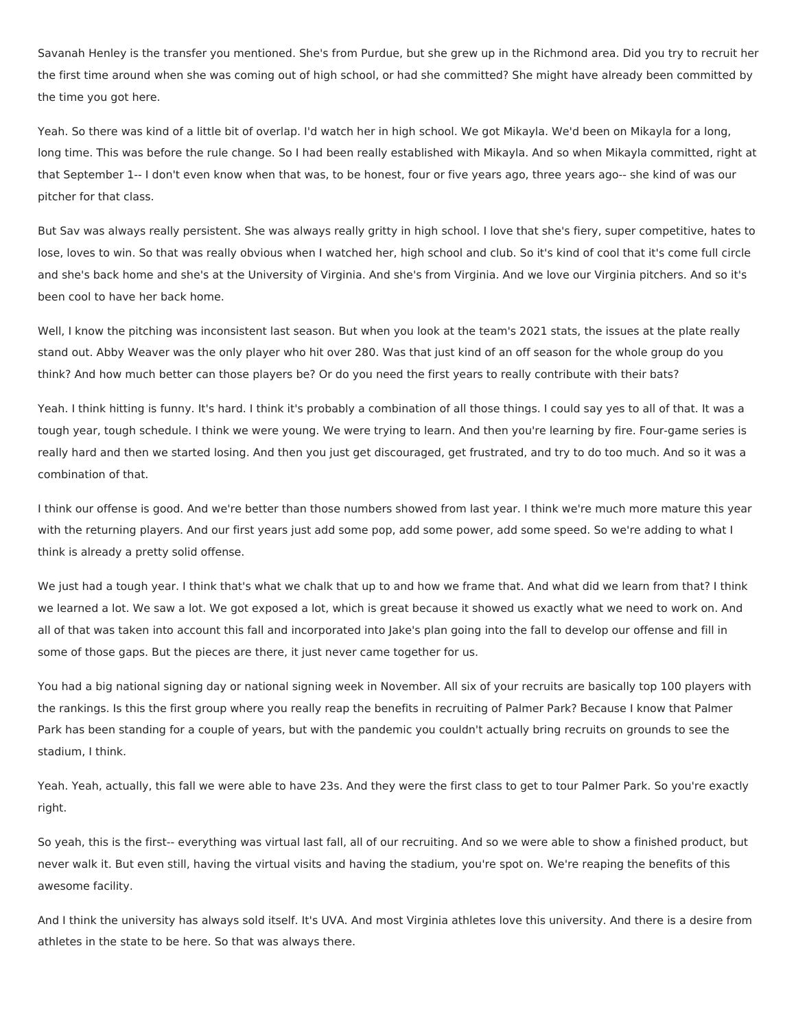Savanah Henley is the transfer you mentioned. She's from Purdue, but she grew up in the Richmond area. Did you try to recruit her the first time around when she was coming out of high school, or had she committed? She might have already been committed by the time you got here.

Yeah. So there was kind of a little bit of overlap. I'd watch her in high school. We got Mikayla. We'd been on Mikayla for a long, long time. This was before the rule change. So I had been really established with Mikayla. And so when Mikayla committed, right at that September 1-- I don't even know when that was, to be honest, four or five years ago, three years ago-- she kind of was our pitcher for that class.

But Sav was always really persistent. She was always really gritty in high school. I love that she's fiery, super competitive, hates to lose, loves to win. So that was really obvious when I watched her, high school and club. So it's kind of cool that it's come full circle and she's back home and she's at the University of Virginia. And she's from Virginia. And we love our Virginia pitchers. And so it's been cool to have her back home.

Well, I know the pitching was inconsistent last season. But when you look at the team's 2021 stats, the issues at the plate really stand out. Abby Weaver was the only player who hit over 280. Was that just kind of an off season for the whole group do you think? And how much better can those players be? Or do you need the first years to really contribute with their bats?

Yeah. I think hitting is funny. It's hard. I think it's probably a combination of all those things. I could say yes to all of that. It was a tough year, tough schedule. I think we were young. We were trying to learn. And then you're learning by fire. Four-game series is really hard and then we started losing. And then you just get discouraged, get frustrated, and try to do too much. And so it was a combination of that.

I think our offense is good. And we're better than those numbers showed from last year. I think we're much more mature this year with the returning players. And our first years just add some pop, add some power, add some speed. So we're adding to what I think is already a pretty solid offense.

We just had a tough year. I think that's what we chalk that up to and how we frame that. And what did we learn from that? I think we learned a lot. We saw a lot. We got exposed a lot, which is great because it showed us exactly what we need to work on. And all of that was taken into account this fall and incorporated into Jake's plan going into the fall to develop our offense and fill in some of those gaps. But the pieces are there, it just never came together for us.

You had a big national signing day or national signing week in November. All six of your recruits are basically top 100 players with the rankings. Is this the first group where you really reap the benefits in recruiting of Palmer Park? Because I know that Palmer Park has been standing for a couple of years, but with the pandemic you couldn't actually bring recruits on grounds to see the stadium, I think.

Yeah. Yeah, actually, this fall we were able to have 23s. And they were the first class to get to tour Palmer Park. So you're exactly right.

So yeah, this is the first-- everything was virtual last fall, all of our recruiting. And so we were able to show a finished product, but never walk it. But even still, having the virtual visits and having the stadium, you're spot on. We're reaping the benefits of this awesome facility.

And I think the university has always sold itself. It's UVA. And most Virginia athletes love this university. And there is a desire from athletes in the state to be here. So that was always there.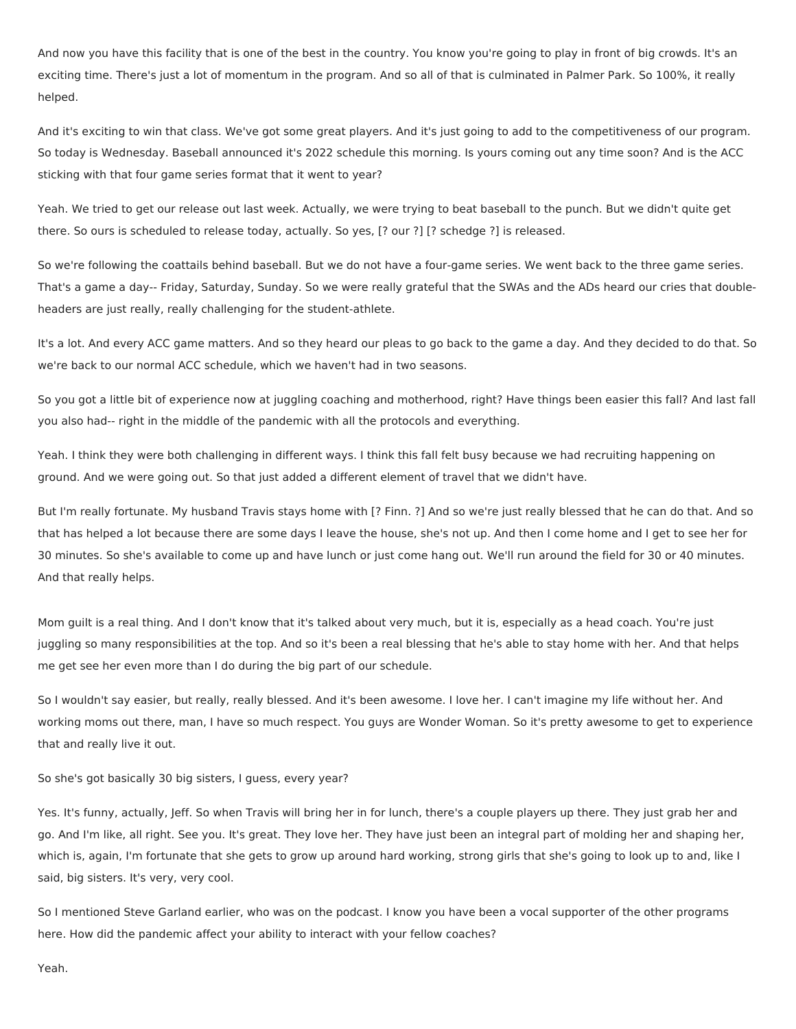And now you have this facility that is one of the best in the country. You know you're going to play in front of big crowds. It's an exciting time. There's just a lot of momentum in the program. And so all of that is culminated in Palmer Park. So 100%, it really helped.

And it's exciting to win that class. We've got some great players. And it's just going to add to the competitiveness of our program. So today is Wednesday. Baseball announced it's 2022 schedule this morning. Is yours coming out any time soon? And is the ACC sticking with that four game series format that it went to year?

Yeah. We tried to get our release out last week. Actually, we were trying to beat baseball to the punch. But we didn't quite get there. So ours is scheduled to release today, actually. So yes, [? our ?] [? schedge ?] is released.

So we're following the coattails behind baseball. But we do not have a four-game series. We went back to the three game series. That's a game a day-- Friday, Saturday, Sunday. So we were really grateful that the SWAs and the ADs heard our cries that doubleheaders are just really, really challenging for the student-athlete.

It's a lot. And every ACC game matters. And so they heard our pleas to go back to the game a day. And they decided to do that. So we're back to our normal ACC schedule, which we haven't had in two seasons.

So you got a little bit of experience now at juggling coaching and motherhood, right? Have things been easier this fall? And last fall you also had-- right in the middle of the pandemic with all the protocols and everything.

Yeah. I think they were both challenging in different ways. I think this fall felt busy because we had recruiting happening on ground. And we were going out. So that just added a different element of travel that we didn't have.

But I'm really fortunate. My husband Travis stays home with [? Finn. ?] And so we're just really blessed that he can do that. And so that has helped a lot because there are some days I leave the house, she's not up. And then I come home and I get to see her for 30 minutes. So she's available to come up and have lunch or just come hang out. We'll run around the field for 30 or 40 minutes. And that really helps.

Mom guilt is a real thing. And I don't know that it's talked about very much, but it is, especially as a head coach. You're just juggling so many responsibilities at the top. And so it's been a real blessing that he's able to stay home with her. And that helps me get see her even more than I do during the big part of our schedule.

So I wouldn't say easier, but really, really blessed. And it's been awesome. I love her. I can't imagine my life without her. And working moms out there, man, I have so much respect. You guys are Wonder Woman. So it's pretty awesome to get to experience that and really live it out.

So she's got basically 30 big sisters, I guess, every year?

Yes. It's funny, actually, Jeff. So when Travis will bring her in for lunch, there's a couple players up there. They just grab her and go. And I'm like, all right. See you. It's great. They love her. They have just been an integral part of molding her and shaping her, which is, again, I'm fortunate that she gets to grow up around hard working, strong girls that she's going to look up to and, like I said, big sisters. It's very, very cool.

So I mentioned Steve Garland earlier, who was on the podcast. I know you have been a vocal supporter of the other programs here. How did the pandemic affect your ability to interact with your fellow coaches?

Yeah.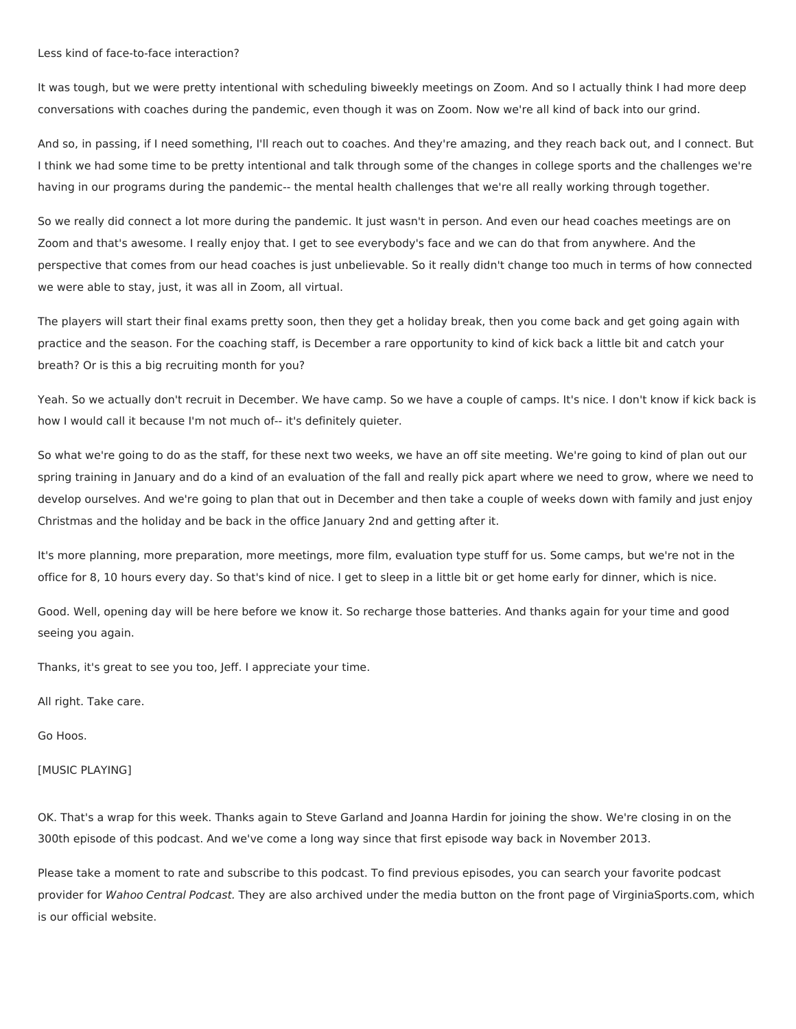## Less kind of face-to-face interaction?

It was tough, but we were pretty intentional with scheduling biweekly meetings on Zoom. And so I actually think I had more deep conversations with coaches during the pandemic, even though it was on Zoom. Now we're all kind of back into our grind.

And so, in passing, if I need something, I'll reach out to coaches. And they're amazing, and they reach back out, and I connect. But I think we had some time to be pretty intentional and talk through some of the changes in college sports and the challenges we're having in our programs during the pandemic-- the mental health challenges that we're all really working through together.

So we really did connect a lot more during the pandemic. It just wasn't in person. And even our head coaches meetings are on Zoom and that's awesome. I really enjoy that. I get to see everybody's face and we can do that from anywhere. And the perspective that comes from our head coaches is just unbelievable. So it really didn't change too much in terms of how connected we were able to stay, just, it was all in Zoom, all virtual.

The players will start their final exams pretty soon, then they get a holiday break, then you come back and get going again with practice and the season. For the coaching staff, is December a rare opportunity to kind of kick back a little bit and catch your breath? Or is this a big recruiting month for you?

Yeah. So we actually don't recruit in December. We have camp. So we have a couple of camps. It's nice. I don't know if kick back is how I would call it because I'm not much of-- it's definitely quieter.

So what we're going to do as the staff, for these next two weeks, we have an off site meeting. We're going to kind of plan out our spring training in January and do a kind of an evaluation of the fall and really pick apart where we need to grow, where we need to develop ourselves. And we're going to plan that out in December and then take a couple of weeks down with family and just enjoy Christmas and the holiday and be back in the office January 2nd and getting after it.

It's more planning, more preparation, more meetings, more film, evaluation type stuff for us. Some camps, but we're not in the office for 8, 10 hours every day. So that's kind of nice. I get to sleep in a little bit or get home early for dinner, which is nice.

Good. Well, opening day will be here before we know it. So recharge those batteries. And thanks again for your time and good seeing you again.

Thanks, it's great to see you too, Jeff. I appreciate your time.

All right. Take care.

Go Hoos.

[MUSIC PLAYING]

OK. That's a wrap for this week. Thanks again to Steve Garland and Joanna Hardin for joining the show. We're closing in on the 300th episode of this podcast. And we've come a long way since that first episode way back in November 2013.

Please take a moment to rate and subscribe to this podcast. To find previous episodes, you can search your favorite podcast provider for Wahoo Central Podcast. They are also archived under the media button on the front page of VirginiaSports.com, which is our official website.